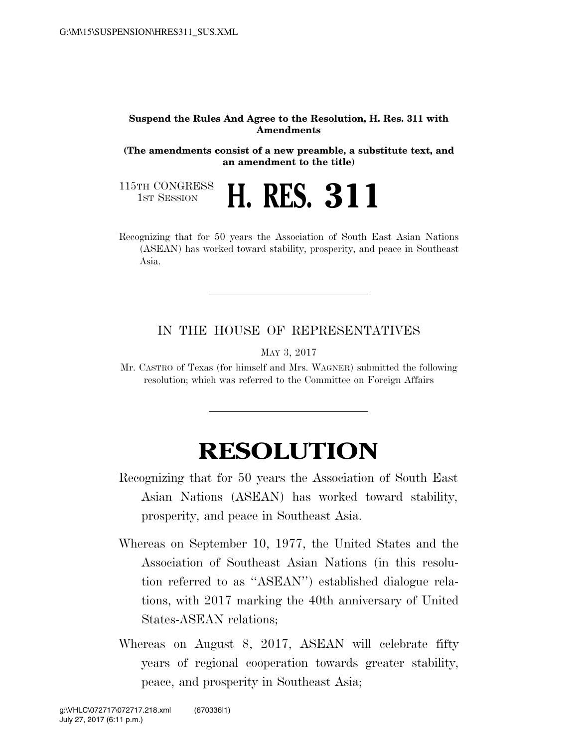## **Suspend the Rules And Agree to the Resolution, H. Res. 311 with Amendments**

**(The amendments consist of a new preamble, a substitute text, and an amendment to the title)** 

115TH CONGRESS<br>1st Session

**H. RES. 311** 

Recognizing that for 50 years the Association of South East Asian Nations (ASEAN) has worked toward stability, prosperity, and peace in Southeast Asia.

## IN THE HOUSE OF REPRESENTATIVES

MAY 3, 2017

Mr. CASTRO of Texas (for himself and Mrs. WAGNER) submitted the following resolution; which was referred to the Committee on Foreign Affairs

## **RESOLUTION**

- Recognizing that for 50 years the Association of South East Asian Nations (ASEAN) has worked toward stability, prosperity, and peace in Southeast Asia.
- Whereas on September 10, 1977, the United States and the Association of Southeast Asian Nations (in this resolution referred to as ''ASEAN'') established dialogue relations, with 2017 marking the 40th anniversary of United States-ASEAN relations;
- Whereas on August 8, 2017, ASEAN will celebrate fifty years of regional cooperation towards greater stability, peace, and prosperity in Southeast Asia;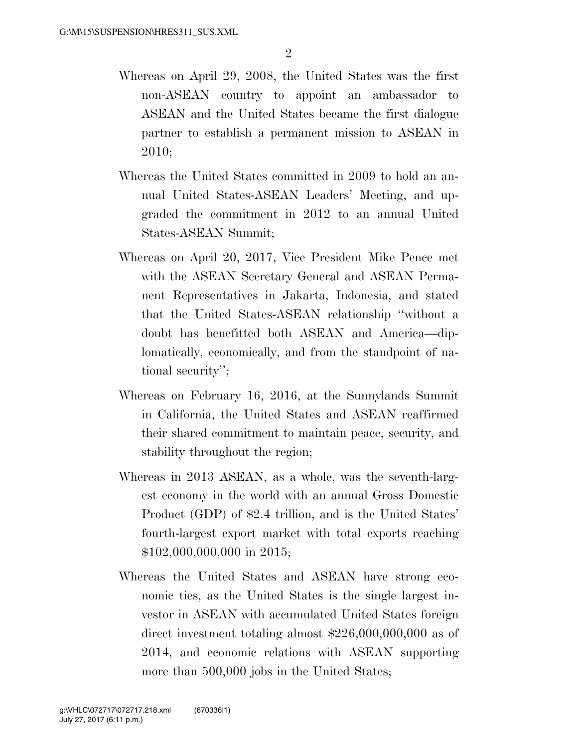- Whereas on April 29, 2008, the United States was the first non-ASEAN country to appoint an ambassador to ASEAN and the United States became the first dialogue partner to establish a permanent mission to ASEAN in 2010;
- Whereas the United States committed in 2009 to hold an annual United States-ASEAN Leaders' Meeting, and upgraded the commitment in 2012 to an annual United States-ASEAN Summit;
- Whereas on April 20, 2017, Vice President Mike Pence met with the ASEAN Secretary General and ASEAN Permanent Representatives in Jakarta, Indonesia, and stated that the United States-ASEAN relationship ''without a doubt has benefitted both ASEAN and America—diplomatically, economically, and from the standpoint of national security'';
- Whereas on February 16, 2016, at the Sunnylands Summit in California, the United States and ASEAN reaffirmed their shared commitment to maintain peace, security, and stability throughout the region;
- Whereas in 2013 ASEAN, as a whole, was the seventh-largest economy in the world with an annual Gross Domestic Product (GDP) of \$2.4 trillion, and is the United States' fourth-largest export market with total exports reaching \$102,000,000,000 in 2015;
- Whereas the United States and ASEAN have strong economic ties, as the United States is the single largest investor in ASEAN with accumulated United States foreign direct investment totaling almost \$226,000,000,000 as of 2014, and economic relations with ASEAN supporting more than 500,000 jobs in the United States;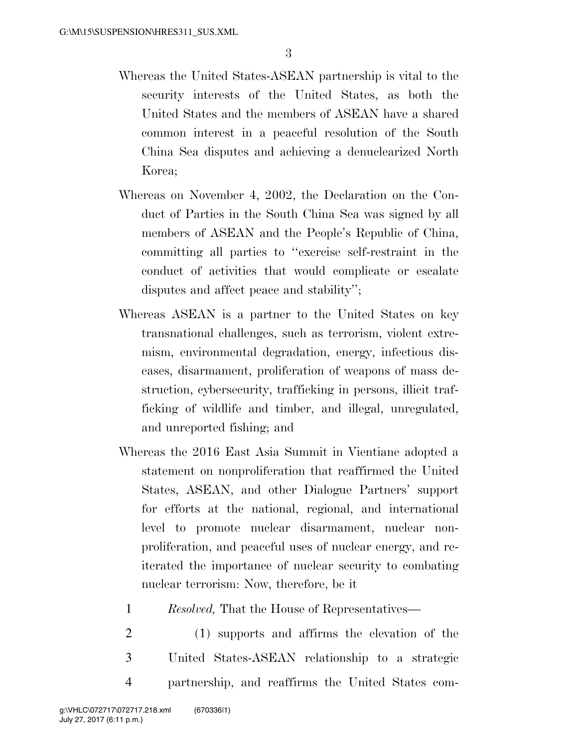- Whereas the United States-ASEAN partnership is vital to the security interests of the United States, as both the United States and the members of ASEAN have a shared common interest in a peaceful resolution of the South China Sea disputes and achieving a denuclearized North Korea;
- Whereas on November 4, 2002, the Declaration on the Conduct of Parties in the South China Sea was signed by all members of ASEAN and the People's Republic of China, committing all parties to ''exercise self-restraint in the conduct of activities that would complicate or escalate disputes and affect peace and stability'';
- Whereas ASEAN is a partner to the United States on key transnational challenges, such as terrorism, violent extremism, environmental degradation, energy, infectious diseases, disarmament, proliferation of weapons of mass destruction, cybersecurity, trafficking in persons, illicit trafficking of wildlife and timber, and illegal, unregulated, and unreported fishing; and
- Whereas the 2016 East Asia Summit in Vientiane adopted a statement on nonproliferation that reaffirmed the United States, ASEAN, and other Dialogue Partners' support for efforts at the national, regional, and international level to promote nuclear disarmament, nuclear nonproliferation, and peaceful uses of nuclear energy, and reiterated the importance of nuclear security to combating nuclear terrorism: Now, therefore, be it
	- 1 *Resolved,* That the House of Representatives—
- 

2 (1) supports and affirms the elevation of the 3 United States-ASEAN relationship to a strategic 4 partnership, and reaffirms the United States com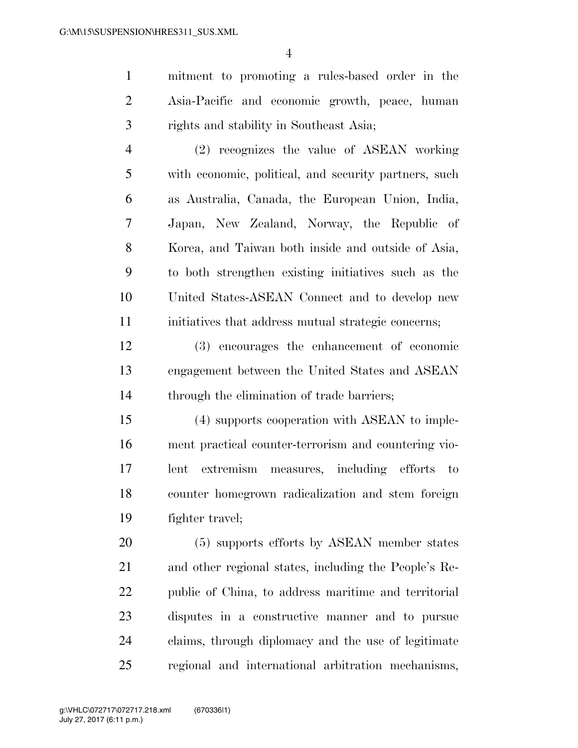mitment to promoting a rules-based order in the Asia-Pacific and economic growth, peace, human rights and stability in Southeast Asia;

 (2) recognizes the value of ASEAN working with economic, political, and security partners, such as Australia, Canada, the European Union, India, Japan, New Zealand, Norway, the Republic of Korea, and Taiwan both inside and outside of Asia, to both strengthen existing initiatives such as the United States-ASEAN Connect and to develop new 11 initiatives that address mutual strategic concerns;

 (3) encourages the enhancement of economic engagement between the United States and ASEAN through the elimination of trade barriers;

 (4) supports cooperation with ASEAN to imple- ment practical counter-terrorism and countering vio- lent extremism measures, including efforts to counter homegrown radicalization and stem foreign fighter travel;

 (5) supports efforts by ASEAN member states and other regional states, including the People's Re- public of China, to address maritime and territorial disputes in a constructive manner and to pursue claims, through diplomacy and the use of legitimate regional and international arbitration mechanisms,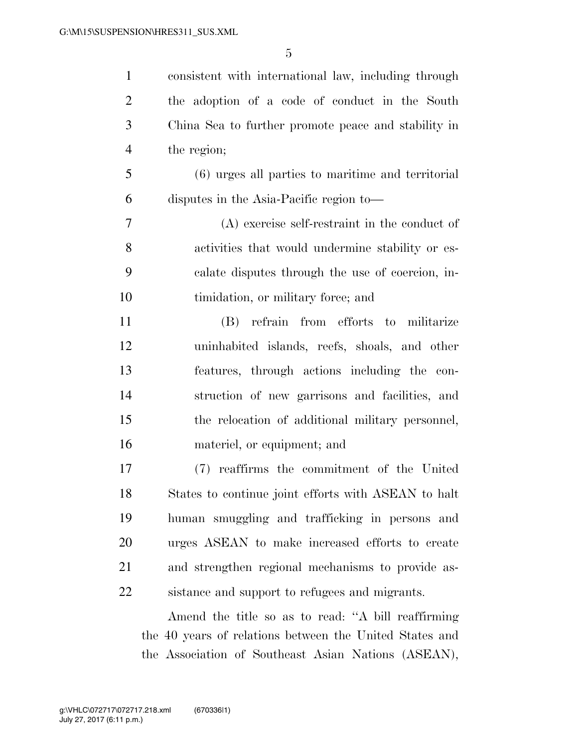consistent with international law, including through the adoption of a code of conduct in the South China Sea to further promote peace and stability in the region; (6) urges all parties to maritime and territorial disputes in the Asia-Pacific region to— (A) exercise self-restraint in the conduct of activities that would undermine stability or es- calate disputes through the use of coercion, in-10 timidation, or military force; and (B) refrain from efforts to militarize uninhabited islands, reefs, shoals, and other features, through actions including the con- struction of new garrisons and facilities, and the relocation of additional military personnel, materiel, or equipment; and (7) reaffirms the commitment of the United States to continue joint efforts with ASEAN to halt human smuggling and trafficking in persons and

 urges ASEAN to make increased efforts to create and strengthen regional mechanisms to provide as-sistance and support to refugees and migrants.

Amend the title so as to read: ''A bill reaffirming the 40 years of relations between the United States and the Association of Southeast Asian Nations (ASEAN),